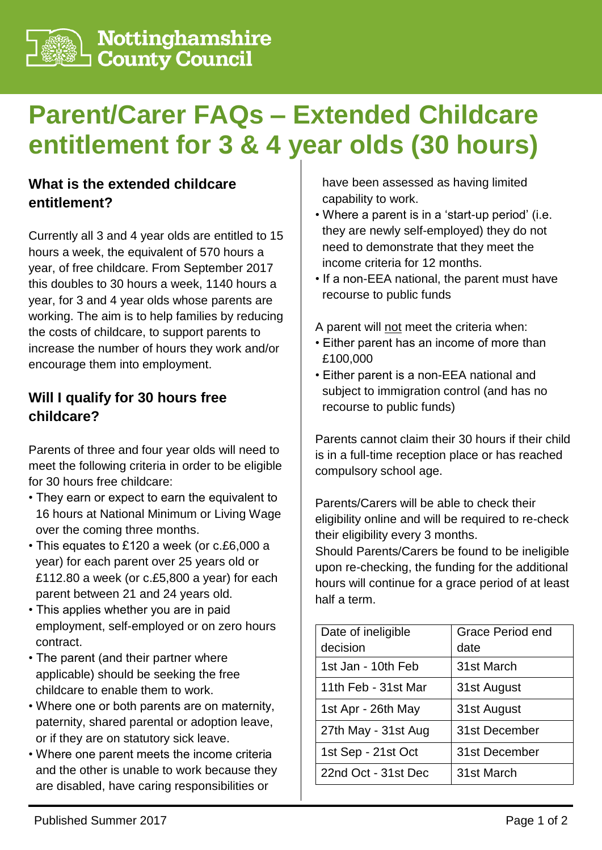

**Nottinghamshire**<br>□ County Council

# **Parent/Carer FAQs – Extended Childcare entitlement for 3 & 4 year olds (30 hours)**

#### **What is the extended childcare entitlement?**

Currently all 3 and 4 year olds are entitled to 15 hours a week, the equivalent of 570 hours a year, of free childcare. From September 2017 this doubles to 30 hours a week, 1140 hours a year, for 3 and 4 year olds whose parents are working. The aim is to help families by reducing the costs of childcare, to support parents to increase the number of hours they work and/or encourage them into employment.

#### **Will I qualify for 30 hours free childcare?**

Parents of three and four year olds will need to meet the following criteria in order to be eligible for 30 hours free childcare:

- They earn or expect to earn the equivalent to 16 hours at National Minimum or Living Wage over the coming three months.
- This equates to £120 a week (or c.£6,000 a year) for each parent over 25 years old or £112.80 a week (or c.£5,800 a year) for each parent between 21 and 24 years old.
- This applies whether you are in paid employment, self-employed or on zero hours contract.
- The parent (and their partner where applicable) should be seeking the free childcare to enable them to work.
- Where one or both parents are on maternity, paternity, shared parental or adoption leave, or if they are on statutory sick leave.
- Where one parent meets the income criteria and the other is unable to work because they are disabled, have caring responsibilities or

have been assessed as having limited capability to work.

- Where a parent is in a 'start-up period' (i.e. they are newly self-employed) they do not need to demonstrate that they meet the income criteria for 12 months.
- If a non-EEA national, the parent must have recourse to public funds

A parent will not meet the criteria when:

- Either parent has an income of more than £100,000
- Either parent is a non-EEA national and subject to immigration control (and has no recourse to public funds)

Parents cannot claim their 30 hours if their child is in a full-time reception place or has reached compulsory school age.

Parents/Carers will be able to check their eligibility online and will be required to re-check their eligibility every 3 months.

Should Parents/Carers be found to be ineligible upon re-checking, the funding for the additional hours will continue for a grace period of at least half a term.

| Date of ineligible  | Grace Period end |  |
|---------------------|------------------|--|
| decision            | date             |  |
| 1st Jan - 10th Feb  | 31st March       |  |
| 11th Feb - 31st Mar | 31st August      |  |
| 1st Apr - 26th May  | 31st August      |  |
| 27th May - 31st Aug | 31st December    |  |
| 1st Sep - 21st Oct  | 31st December    |  |
| 22nd Oct - 31st Dec | 31st March       |  |